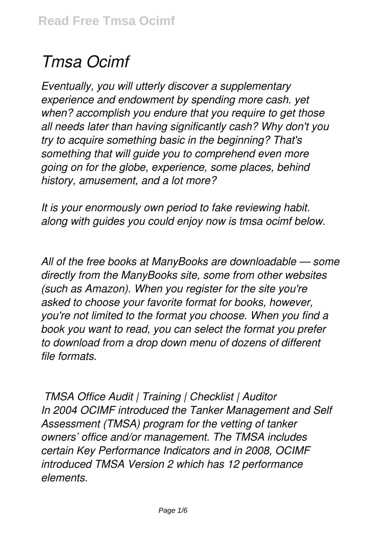# *Tmsa Ocimf*

*Eventually, you will utterly discover a supplementary experience and endowment by spending more cash. yet when? accomplish you endure that you require to get those all needs later than having significantly cash? Why don't you try to acquire something basic in the beginning? That's something that will guide you to comprehend even more going on for the globe, experience, some places, behind history, amusement, and a lot more?*

*It is your enormously own period to fake reviewing habit. along with guides you could enjoy now is tmsa ocimf below.*

*All of the free books at ManyBooks are downloadable — some directly from the ManyBooks site, some from other websites (such as Amazon). When you register for the site you're asked to choose your favorite format for books, however, you're not limited to the format you choose. When you find a book you want to read, you can select the format you prefer to download from a drop down menu of dozens of different file formats.*

*TMSA Office Audit | Training | Checklist | Auditor In 2004 OCIMF introduced the Tanker Management and Self Assessment (TMSA) program for the vetting of tanker owners' office and/or management. The TMSA includes certain Key Performance Indicators and in 2008, OCIMF introduced TMSA Version 2 which has 12 performance elements.*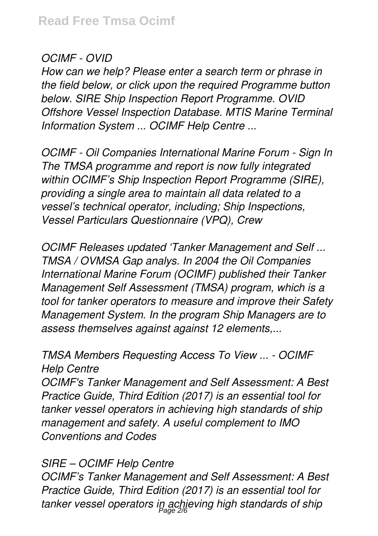## *OCIMF - OVID*

*How can we help? Please enter a search term or phrase in the field below, or click upon the required Programme button below. SIRE Ship Inspection Report Programme. OVID Offshore Vessel Inspection Database. MTIS Marine Terminal Information System ... OCIMF Help Centre ...*

*OCIMF - Oil Companies International Marine Forum - Sign In The TMSA programme and report is now fully integrated within OCIMF's Ship Inspection Report Programme (SIRE), providing a single area to maintain all data related to a vessel's technical operator, including; Ship Inspections, Vessel Particulars Questionnaire (VPQ), Crew*

*OCIMF Releases updated 'Tanker Management and Self ... TMSA / OVMSA Gap analys. In 2004 the Oil Companies International Marine Forum (OCIMF) published their Tanker Management Self Assessment (TMSA) program, which is a tool for tanker operators to measure and improve their Safety Management System. In the program Ship Managers are to assess themselves against against 12 elements,...*

#### *TMSA Members Requesting Access To View ... - OCIMF Help Centre*

*OCIMF's Tanker Management and Self Assessment: A Best Practice Guide, Third Edition (2017) is an essential tool for tanker vessel operators in achieving high standards of ship management and safety. A useful complement to IMO Conventions and Codes*

#### *SIRE – OCIMF Help Centre*

*OCIMF's Tanker Management and Self Assessment: A Best Practice Guide, Third Edition (2017) is an essential tool for tanker vessel operators in achieving high standards of ship* Page 2/6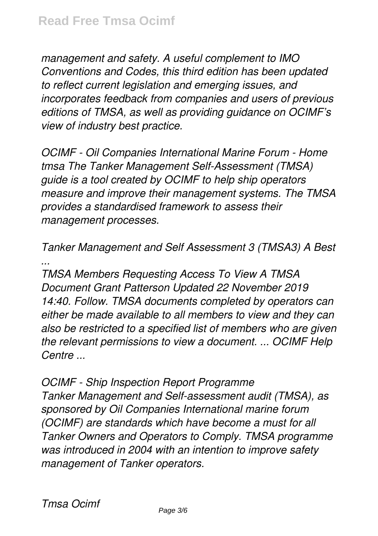*management and safety. A useful complement to IMO Conventions and Codes, this third edition has been updated to reflect current legislation and emerging issues, and incorporates feedback from companies and users of previous editions of TMSA, as well as providing guidance on OCIMF's view of industry best practice.*

*OCIMF - Oil Companies International Marine Forum - Home tmsa The Tanker Management Self-Assessment (TMSA) guide is a tool created by OCIMF to help ship operators measure and improve their management systems. The TMSA provides a standardised framework to assess their management processes.*

*Tanker Management and Self Assessment 3 (TMSA3) A Best ...*

*TMSA Members Requesting Access To View A TMSA Document Grant Patterson Updated 22 November 2019 14:40. Follow. TMSA documents completed by operators can either be made available to all members to view and they can also be restricted to a specified list of members who are given the relevant permissions to view a document. ... OCIMF Help Centre ...*

*OCIMF - Ship Inspection Report Programme Tanker Management and Self-assessment audit (TMSA), as sponsored by Oil Companies International marine forum (OCIMF) are standards which have become a must for all Tanker Owners and Operators to Comply. TMSA programme was introduced in 2004 with an intention to improve safety management of Tanker operators.*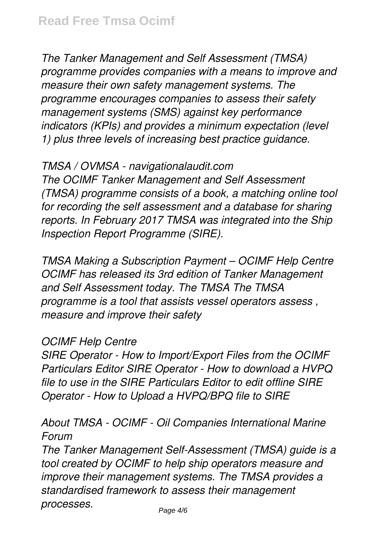*The Tanker Management and Self Assessment (TMSA) programme provides companies with a means to improve and measure their own safety management systems. The programme encourages companies to assess their safety management systems (SMS) against key performance indicators (KPIs) and provides a minimum expectation (level 1) plus three levels of increasing best practice guidance.*

#### *TMSA / OVMSA - navigationalaudit.com*

*The OCIMF Tanker Management and Self Assessment (TMSA) programme consists of a book, a matching online tool for recording the self assessment and a database for sharing reports. In February 2017 TMSA was integrated into the Ship Inspection Report Programme (SIRE).*

*TMSA Making a Subscription Payment – OCIMF Help Centre OCIMF has released its 3rd edition of Tanker Management and Self Assessment today. The TMSA The TMSA programme is a tool that assists vessel operators assess , measure and improve their safety*

#### *OCIMF Help Centre*

*SIRE Operator - How to Import/Export Files from the OCIMF Particulars Editor SIRE Operator - How to download a HVPQ file to use in the SIRE Particulars Editor to edit offline SIRE Operator - How to Upload a HVPQ/BPQ file to SIRE*

#### *About TMSA - OCIMF - Oil Companies International Marine Forum*

*The Tanker Management Self-Assessment (TMSA) guide is a tool created by OCIMF to help ship operators measure and improve their management systems. The TMSA provides a standardised framework to assess their management processes.*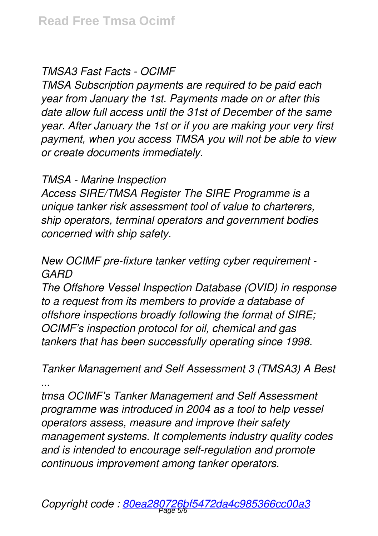#### *TMSA3 Fast Facts - OCIMF*

*TMSA Subscription payments are required to be paid each year from January the 1st. Payments made on or after this date allow full access until the 31st of December of the same year. After January the 1st or if you are making your very first payment, when you access TMSA you will not be able to view or create documents immediately.*

#### *TMSA - Marine Inspection*

*Access SIRE/TMSA Register The SIRE Programme is a unique tanker risk assessment tool of value to charterers, ship operators, terminal operators and government bodies concerned with ship safety.*

## *New OCIMF pre-fixture tanker vetting cyber requirement - GARD*

*The Offshore Vessel Inspection Database (OVID) in response to a request from its members to provide a database of offshore inspections broadly following the format of SIRE; OCIMF's inspection protocol for oil, chemical and gas tankers that has been successfully operating since 1998.*

*Tanker Management and Self Assessment 3 (TMSA3) A Best ...*

*tmsa OCIMF's Tanker Management and Self Assessment programme was introduced in 2004 as a tool to help vessel operators assess, measure and improve their safety management systems. It complements industry quality codes and is intended to encourage self-regulation and promote continuous improvement among tanker operators.*